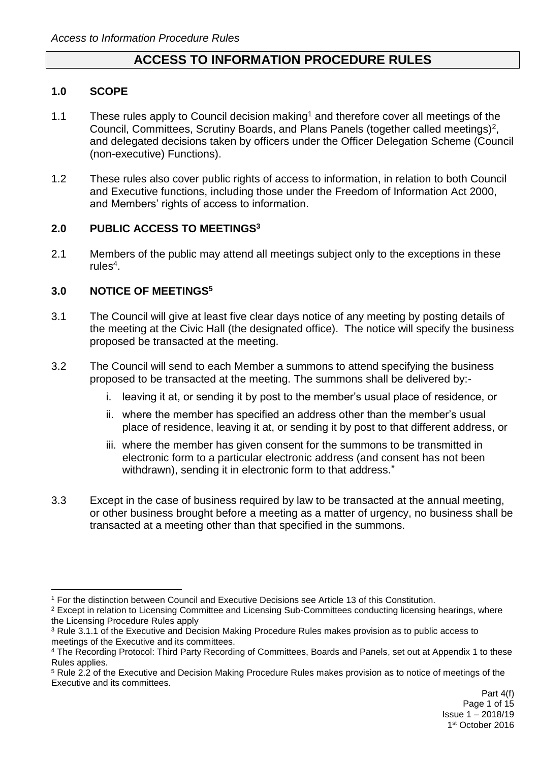# **ACCESS TO INFORMATION PROCEDURE RULES**

### **1.0 SCOPE**

1

- 1.1 These rules apply to Council decision making<sup>1</sup> and therefore cover all meetings of the Council, Committees, Scrutiny Boards, and Plans Panels (together called meetings)<sup>2</sup>, and delegated decisions taken by officers under the Officer Delegation Scheme (Council (non-executive) Functions).
- 1.2 These rules also cover public rights of access to information, in relation to both Council and Executive functions, including those under the Freedom of Information Act 2000, and Members' rights of access to information.

### **2.0 PUBLIC ACCESS TO MEETINGS<sup>3</sup>**

2.1 Members of the public may attend all meetings subject only to the exceptions in these rules<sup>4</sup>.

## **3.0 NOTICE OF MEETINGS<sup>5</sup>**

- 3.1 The Council will give at least five clear days notice of any meeting by posting details of the meeting at the Civic Hall (the designated office). The notice will specify the business proposed be transacted at the meeting.
- 3.2 The Council will send to each Member a summons to attend specifying the business proposed to be transacted at the meeting. The summons shall be delivered by:
	- i. leaving it at, or sending it by post to the member's usual place of residence, or
	- ii. where the member has specified an address other than the member's usual place of residence, leaving it at, or sending it by post to that different address, or
	- iii. where the member has given consent for the summons to be transmitted in electronic form to a particular electronic address (and consent has not been withdrawn), sending it in electronic form to that address."
- 3.3 Except in the case of business required by law to be transacted at the annual meeting, or other business brought before a meeting as a matter of urgency, no business shall be transacted at a meeting other than that specified in the summons.

<sup>1</sup> For the distinction between Council and Executive Decisions see Article 13 of this Constitution.

<sup>&</sup>lt;sup>2</sup> Except in relation to Licensing Committee and Licensing Sub-Committees conducting licensing hearings, where the Licensing Procedure Rules apply

<sup>3</sup> Rule 3.1.1 of the Executive and Decision Making Procedure Rules makes provision as to public access to meetings of the Executive and its committees.

<sup>&</sup>lt;sup>4</sup> The Recording Protocol: Third Party Recording of Committees, Boards and Panels, set out at Appendix 1 to these Rules applies.

<sup>5</sup> Rule 2.2 of the Executive and Decision Making Procedure Rules makes provision as to notice of meetings of the Executive and its committees.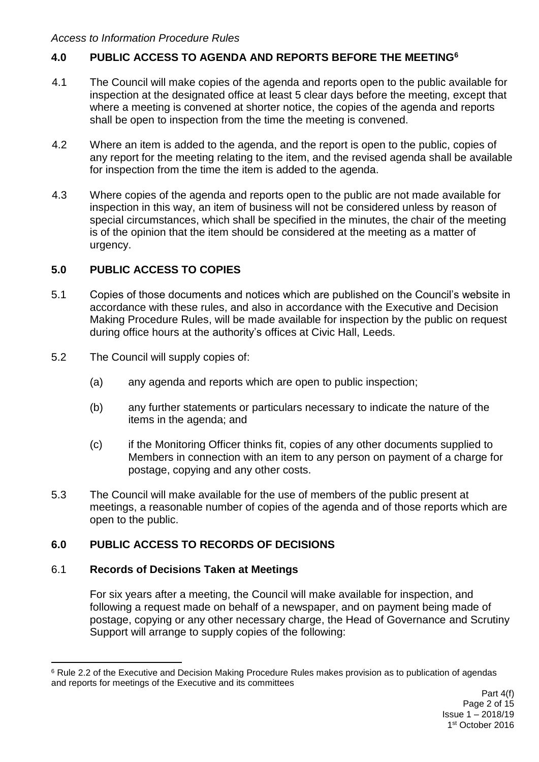## **4.0 PUBLIC ACCESS TO AGENDA AND REPORTS BEFORE THE MEETING<sup>6</sup>**

- 4.1 The Council will make copies of the agenda and reports open to the public available for inspection at the designated office at least 5 clear days before the meeting, except that where a meeting is convened at shorter notice, the copies of the agenda and reports shall be open to inspection from the time the meeting is convened.
- 4.2 Where an item is added to the agenda, and the report is open to the public, copies of any report for the meeting relating to the item, and the revised agenda shall be available for inspection from the time the item is added to the agenda.
- 4.3 Where copies of the agenda and reports open to the public are not made available for inspection in this way, an item of business will not be considered unless by reason of special circumstances, which shall be specified in the minutes, the chair of the meeting is of the opinion that the item should be considered at the meeting as a matter of urgency.

## **5.0 PUBLIC ACCESS TO COPIES**

- 5.1 Copies of those documents and notices which are published on the Council's website in accordance with these rules, and also in accordance with the Executive and Decision Making Procedure Rules, will be made available for inspection by the public on request during office hours at the authority's offices at Civic Hall, Leeds.
- 5.2 The Council will supply copies of:
	- (a) any agenda and reports which are open to public inspection;
	- (b) any further statements or particulars necessary to indicate the nature of the items in the agenda; and
	- (c) if the Monitoring Officer thinks fit, copies of any other documents supplied to Members in connection with an item to any person on payment of a charge for postage, copying and any other costs.
- 5.3 The Council will make available for the use of members of the public present at meetings, a reasonable number of copies of the agenda and of those reports which are open to the public.

## **6.0 PUBLIC ACCESS TO RECORDS OF DECISIONS**

#### 6.1 **Records of Decisions Taken at Meetings**

1

For six years after a meeting, the Council will make available for inspection, and following a request made on behalf of a newspaper, and on payment being made of postage, copying or any other necessary charge, the Head of Governance and Scrutiny Support will arrange to supply copies of the following:

<sup>&</sup>lt;sup>6</sup> Rule 2.2 of the Executive and Decision Making Procedure Rules makes provision as to publication of agendas and reports for meetings of the Executive and its committees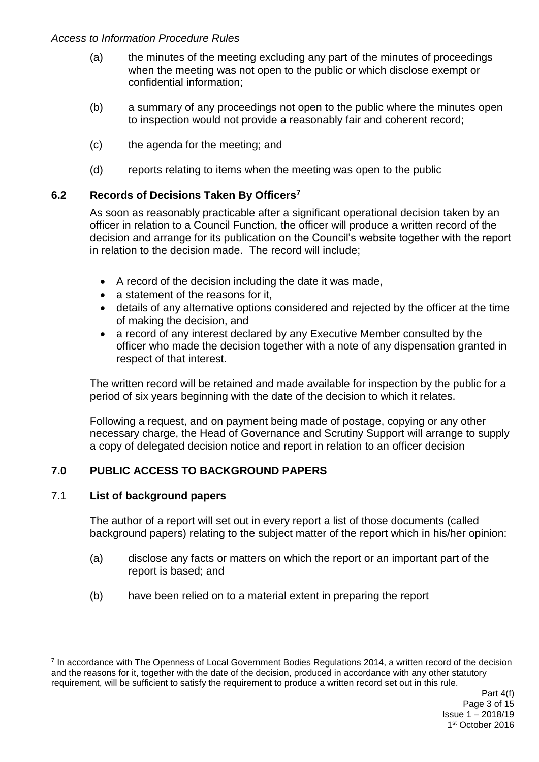- (a) the minutes of the meeting excluding any part of the minutes of proceedings when the meeting was not open to the public or which disclose exempt or confidential information;
- (b) a summary of any proceedings not open to the public where the minutes open to inspection would not provide a reasonably fair and coherent record;
- (c) the agenda for the meeting; and
- (d) reports relating to items when the meeting was open to the public

## **6.2 Records of Decisions Taken By Officers<sup>7</sup>**

As soon as reasonably practicable after a significant operational decision taken by an officer in relation to a Council Function, the officer will produce a written record of the decision and arrange for its publication on the Council's website together with the report in relation to the decision made. The record will include;

- A record of the decision including the date it was made,
- a statement of the reasons for it,
- details of any alternative options considered and rejected by the officer at the time of making the decision, and
- a record of any interest declared by any Executive Member consulted by the officer who made the decision together with a note of any dispensation granted in respect of that interest.

The written record will be retained and made available for inspection by the public for a period of six years beginning with the date of the decision to which it relates.

Following a request, and on payment being made of postage, copying or any other necessary charge, the Head of Governance and Scrutiny Support will arrange to supply a copy of delegated decision notice and report in relation to an officer decision

## **7.0 PUBLIC ACCESS TO BACKGROUND PAPERS**

#### 7.1 **List of background papers**

1

The author of a report will set out in every report a list of those documents (called background papers) relating to the subject matter of the report which in his/her opinion:

- (a) disclose any facts or matters on which the report or an important part of the report is based; and
- (b) have been relied on to a material extent in preparing the report

<sup>&</sup>lt;sup>7</sup> In accordance with The Openness of Local Government Bodies Regulations 2014, a written record of the decision and the reasons for it, together with the date of the decision, produced in accordance with any other statutory requirement, will be sufficient to satisfy the requirement to produce a written record set out in this rule.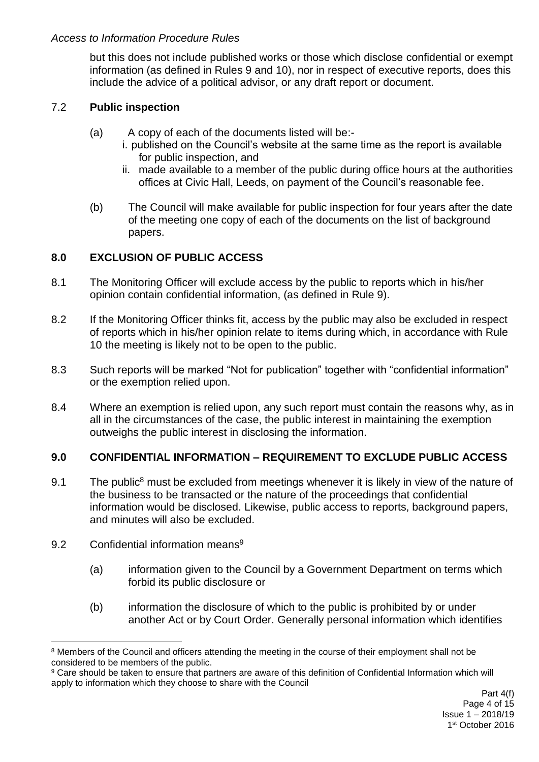but this does not include published works or those which disclose confidential or exempt information (as defined in Rules 9 and 10), nor in respect of executive reports, does this include the advice of a political advisor, or any draft report or document.

## 7.2 **Public inspection**

- (a) A copy of each of the documents listed will be:
	- i. published on the Council's website at the same time as the report is available for public inspection, and
	- ii. made available to a member of the public during office hours at the authorities offices at Civic Hall, Leeds, on payment of the Council's reasonable fee.
- (b) The Council will make available for public inspection for four years after the date of the meeting one copy of each of the documents on the list of background papers.

## **8.0 EXCLUSION OF PUBLIC ACCESS**

- 8.1 The Monitoring Officer will exclude access by the public to reports which in his/her opinion contain confidential information, (as defined in Rule 9).
- 8.2 If the Monitoring Officer thinks fit, access by the public may also be excluded in respect of reports which in his/her opinion relate to items during which, in accordance with Rule 10 the meeting is likely not to be open to the public.
- 8.3 Such reports will be marked "Not for publication" together with "confidential information" or the exemption relied upon.
- 8.4 Where an exemption is relied upon, any such report must contain the reasons why, as in all in the circumstances of the case, the public interest in maintaining the exemption outweighs the public interest in disclosing the information.

## **9.0 CONFIDENTIAL INFORMATION – REQUIREMENT TO EXCLUDE PUBLIC ACCESS**

- 9.1 The public<sup>8</sup> must be excluded from meetings whenever it is likely in view of the nature of the business to be transacted or the nature of the proceedings that confidential information would be disclosed. Likewise, public access to reports, background papers, and minutes will also be excluded.
- 9.2 Confidential information means<sup>9</sup>
	- (a) information given to the Council by a Government Department on terms which forbid its public disclosure or
	- (b) information the disclosure of which to the public is prohibited by or under another Act or by Court Order. Generally personal information which identifies

<sup>1</sup> <sup>8</sup> Members of the Council and officers attending the meeting in the course of their employment shall not be considered to be members of the public.

<sup>9</sup> Care should be taken to ensure that partners are aware of this definition of Confidential Information which will apply to information which they choose to share with the Council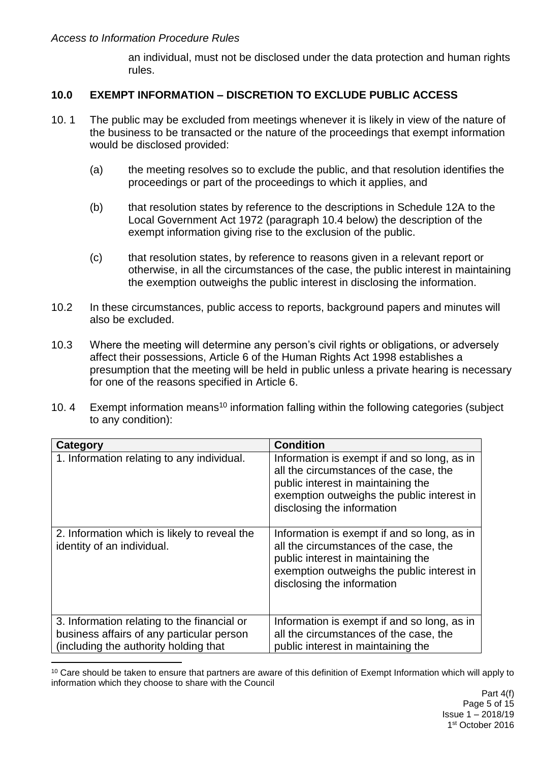an individual, must not be disclosed under the data protection and human rights rules.

### **10.0 EXEMPT INFORMATION – DISCRETION TO EXCLUDE PUBLIC ACCESS**

- 10. 1 The public may be excluded from meetings whenever it is likely in view of the nature of the business to be transacted or the nature of the proceedings that exempt information would be disclosed provided:
	- (a) the meeting resolves so to exclude the public, and that resolution identifies the proceedings or part of the proceedings to which it applies, and
	- (b) that resolution states by reference to the descriptions in Schedule 12A to the Local Government Act 1972 (paragraph 10.4 below) the description of the exempt information giving rise to the exclusion of the public.
	- (c) that resolution states, by reference to reasons given in a relevant report or otherwise, in all the circumstances of the case, the public interest in maintaining the exemption outweighs the public interest in disclosing the information.
- 10.2 In these circumstances, public access to reports, background papers and minutes will also be excluded.
- 10.3 Where the meeting will determine any person's civil rights or obligations, or adversely affect their possessions, Article 6 of the Human Rights Act 1998 establishes a presumption that the meeting will be held in public unless a private hearing is necessary for one of the reasons specified in Article 6.
- 10. 4 Exempt information means<sup>10</sup> information falling within the following categories (subject to any condition):

| Category                                                                                                                           | <b>Condition</b>                                                                                                                                                                                        |
|------------------------------------------------------------------------------------------------------------------------------------|---------------------------------------------------------------------------------------------------------------------------------------------------------------------------------------------------------|
| 1. Information relating to any individual.                                                                                         | Information is exempt if and so long, as in<br>all the circumstances of the case, the<br>public interest in maintaining the<br>exemption outweighs the public interest in<br>disclosing the information |
| 2. Information which is likely to reveal the<br>identity of an individual.                                                         | Information is exempt if and so long, as in<br>all the circumstances of the case, the<br>public interest in maintaining the<br>exemption outweighs the public interest in<br>disclosing the information |
| 3. Information relating to the financial or<br>business affairs of any particular person<br>(including the authority holding that) | Information is exempt if and so long, as in<br>all the circumstances of the case, the<br>public interest in maintaining the                                                                             |

<sup>1</sup> <sup>10</sup> Care should be taken to ensure that partners are aware of this definition of Exempt Information which will apply to information which they choose to share with the Council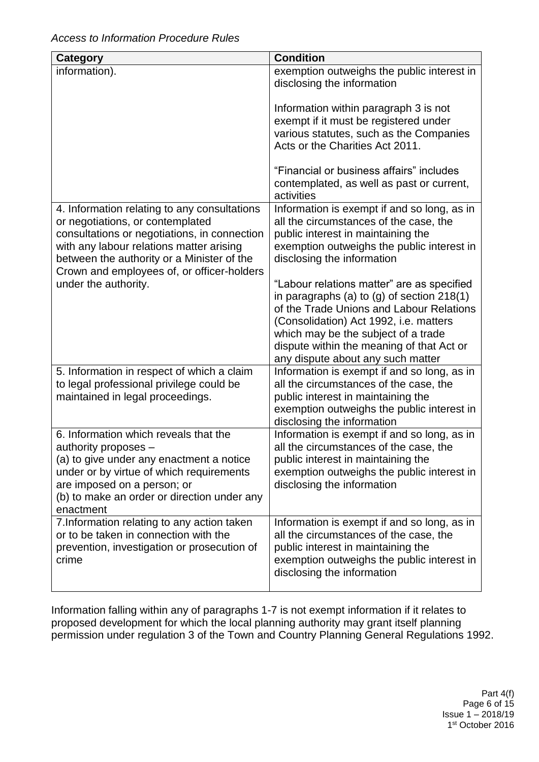| Category                                                                                                                                                                                                                                                                 | <b>Condition</b>                                                                                                                                                                                                                                                                                        |
|--------------------------------------------------------------------------------------------------------------------------------------------------------------------------------------------------------------------------------------------------------------------------|---------------------------------------------------------------------------------------------------------------------------------------------------------------------------------------------------------------------------------------------------------------------------------------------------------|
| information).                                                                                                                                                                                                                                                            | exemption outweighs the public interest in<br>disclosing the information                                                                                                                                                                                                                                |
|                                                                                                                                                                                                                                                                          | Information within paragraph 3 is not<br>exempt if it must be registered under<br>various statutes, such as the Companies<br>Acts or the Charities Act 2011.                                                                                                                                            |
|                                                                                                                                                                                                                                                                          | "Financial or business affairs" includes<br>contemplated, as well as past or current,<br>activities                                                                                                                                                                                                     |
| 4. Information relating to any consultations<br>or negotiations, or contemplated<br>consultations or negotiations, in connection<br>with any labour relations matter arising<br>between the authority or a Minister of the<br>Crown and employees of, or officer-holders | Information is exempt if and so long, as in<br>all the circumstances of the case, the<br>public interest in maintaining the<br>exemption outweighs the public interest in<br>disclosing the information                                                                                                 |
| under the authority.                                                                                                                                                                                                                                                     | "Labour relations matter" are as specified<br>in paragraphs (a) to (g) of section 218(1)<br>of the Trade Unions and Labour Relations<br>(Consolidation) Act 1992, i.e. matters<br>which may be the subject of a trade<br>dispute within the meaning of that Act or<br>any dispute about any such matter |
| 5. Information in respect of which a claim<br>to legal professional privilege could be<br>maintained in legal proceedings.                                                                                                                                               | Information is exempt if and so long, as in<br>all the circumstances of the case, the<br>public interest in maintaining the<br>exemption outweighs the public interest in<br>disclosing the information                                                                                                 |
| 6. Information which reveals that the<br>authority proposes -<br>(a) to give under any enactment a notice<br>under or by virtue of which requirements<br>are imposed on a person; or<br>(b) to make an order or direction under any<br>enactment                         | Information is exempt if and so long, as in<br>all the circumstances of the case, the<br>public interest in maintaining the<br>exemption outweighs the public interest in<br>disclosing the information                                                                                                 |
| 7. Information relating to any action taken<br>or to be taken in connection with the<br>prevention, investigation or prosecution of<br>crime                                                                                                                             | Information is exempt if and so long, as in<br>all the circumstances of the case, the<br>public interest in maintaining the<br>exemption outweighs the public interest in<br>disclosing the information                                                                                                 |

Information falling within any of paragraphs 1-7 is not exempt information if it relates to proposed development for which the local planning authority may grant itself planning permission under regulation 3 of the Town and Country Planning General Regulations 1992.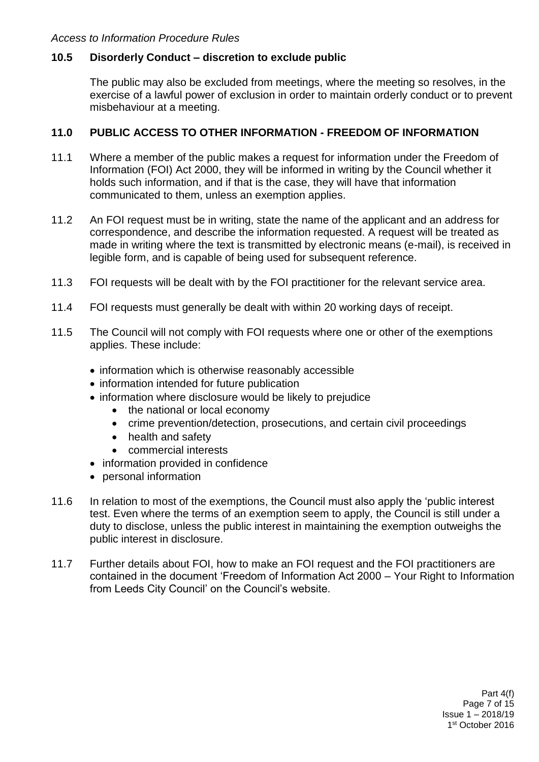### **10.5 Disorderly Conduct – discretion to exclude public**

The public may also be excluded from meetings, where the meeting so resolves, in the exercise of a lawful power of exclusion in order to maintain orderly conduct or to prevent misbehaviour at a meeting.

#### **11.0 PUBLIC ACCESS TO OTHER INFORMATION - FREEDOM OF INFORMATION**

- 11.1 Where a member of the public makes a request for information under the Freedom of Information (FOI) Act 2000, they will be informed in writing by the Council whether it holds such information, and if that is the case, they will have that information communicated to them, unless an exemption applies.
- 11.2 An FOI request must be in writing, state the name of the applicant and an address for correspondence, and describe the information requested. A request will be treated as made in writing where the text is transmitted by electronic means (e-mail), is received in legible form, and is capable of being used for subsequent reference.
- 11.3 FOI requests will be dealt with by the FOI practitioner for the relevant service area.
- 11.4 FOI requests must generally be dealt with within 20 working days of receipt.
- 11.5 The Council will not comply with FOI requests where one or other of the exemptions applies. These include:
	- information which is otherwise reasonably accessible
	- information intended for future publication
	- information where disclosure would be likely to prejudice
		- the national or local economy
		- crime prevention/detection, prosecutions, and certain civil proceedings
		- health and safety
		- commercial interests
	- information provided in confidence
	- personal information
- 11.6 In relation to most of the exemptions, the Council must also apply the 'public interest test. Even where the terms of an exemption seem to apply, the Council is still under a duty to disclose, unless the public interest in maintaining the exemption outweighs the public interest in disclosure.
- 11.7 Further details about FOI, how to make an FOI request and the FOI practitioners are contained in the document 'Freedom of Information Act 2000 – Your Right to Information from Leeds City Council' on the Council's website.

Part 4(f) Page 7 of 15 Issue 1 – 2018/19 1 st October 2016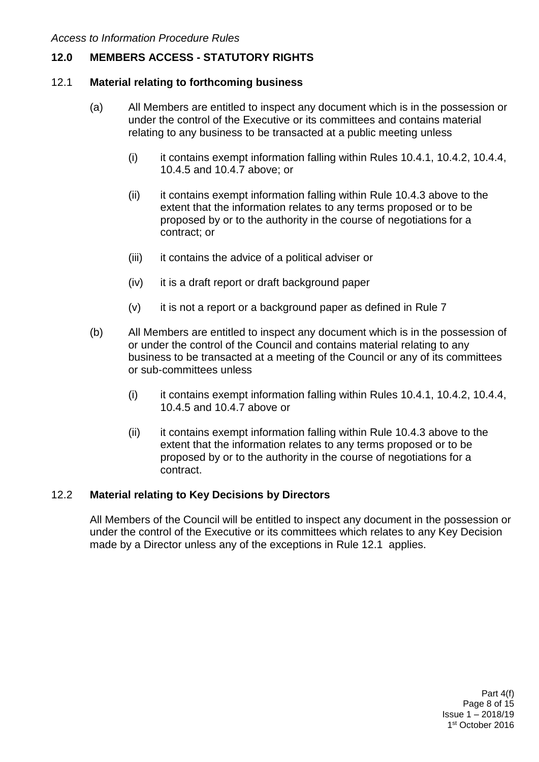## **12.0 MEMBERS ACCESS - STATUTORY RIGHTS**

#### 12.1 **Material relating to forthcoming business**

- (a) All Members are entitled to inspect any document which is in the possession or under the control of the Executive or its committees and contains material relating to any business to be transacted at a public meeting unless
	- (i) it contains exempt information falling within Rules 10.4.1, 10.4.2, 10.4.4, 10.4.5 and 10.4.7 above; or
	- (ii) it contains exempt information falling within Rule 10.4.3 above to the extent that the information relates to any terms proposed or to be proposed by or to the authority in the course of negotiations for a contract; or
	- (iii) it contains the advice of a political adviser or
	- (iv) it is a draft report or draft background paper
	- $(v)$  it is not a report or a background paper as defined in Rule 7
- (b) All Members are entitled to inspect any document which is in the possession of or under the control of the Council and contains material relating to any business to be transacted at a meeting of the Council or any of its committees or sub-committees unless
	- (i) it contains exempt information falling within Rules 10.4.1, 10.4.2, 10.4.4, 10.4.5 and 10.4.7 above or
	- (ii) it contains exempt information falling within Rule 10.4.3 above to the extent that the information relates to any terms proposed or to be proposed by or to the authority in the course of negotiations for a contract.

#### 12.2 **Material relating to Key Decisions by Directors**

All Members of the Council will be entitled to inspect any document in the possession or under the control of the Executive or its committees which relates to any Key Decision made by a Director unless any of the exceptions in Rule 12.1 applies.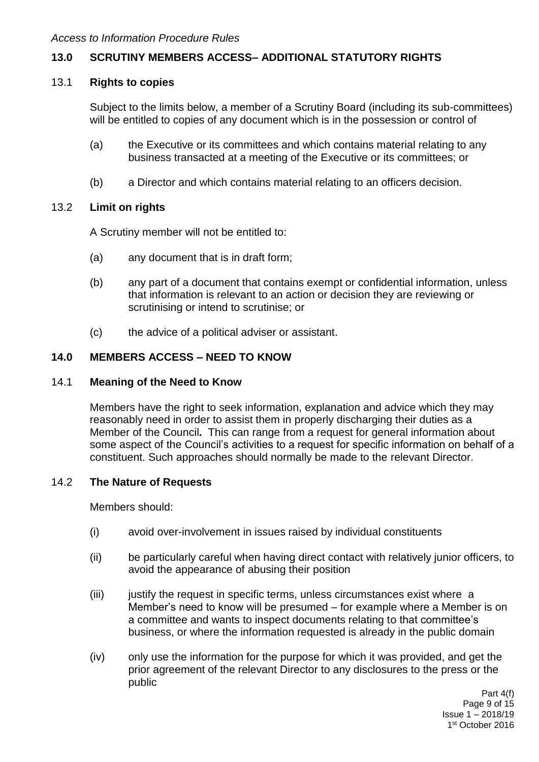## **13.0 SCRUTINY MEMBERS ACCESS– ADDITIONAL STATUTORY RIGHTS**

#### 13.1 **Rights to copies**

Subject to the limits below, a member of a Scrutiny Board (including its sub-committees) will be entitled to copies of any document which is in the possession or control of

- (a) the Executive or its committees and which contains material relating to any business transacted at a meeting of the Executive or its committees; or
- (b) a Director and which contains material relating to an officers decision.

#### 13.2 **Limit on rights**

A Scrutiny member will not be entitled to:

- (a) any document that is in draft form;
- (b) any part of a document that contains exempt or confidential information, unless that information is relevant to an action or decision they are reviewing or scrutinising or intend to scrutinise; or
- (c) the advice of a political adviser or assistant.

### **14.0 MEMBERS ACCESS – NEED TO KNOW**

#### 14.1 **Meaning of the Need to Know**

Members have the right to seek information, explanation and advice which they may reasonably need in order to assist them in properly discharging their duties as a Member of the Council**.** This can range from a request for general information about some aspect of the Council's activities to a request for specific information on behalf of a constituent. Such approaches should normally be made to the relevant Director.

#### 14.2 **The Nature of Requests**

Members should:

- (i) avoid over-involvement in issues raised by individual constituents
- (ii) be particularly careful when having direct contact with relatively junior officers, to avoid the appearance of abusing their position
- (iii) justify the request in specific terms, unless circumstances exist where a Member's need to know will be presumed – for example where a Member is on a committee and wants to inspect documents relating to that committee's business, or where the information requested is already in the public domain
- (iv) only use the information for the purpose for which it was provided, and get the prior agreement of the relevant Director to any disclosures to the press or the public

Part 4(f) Page 9 of 15 Issue 1 – 2018/19 1 st October 2016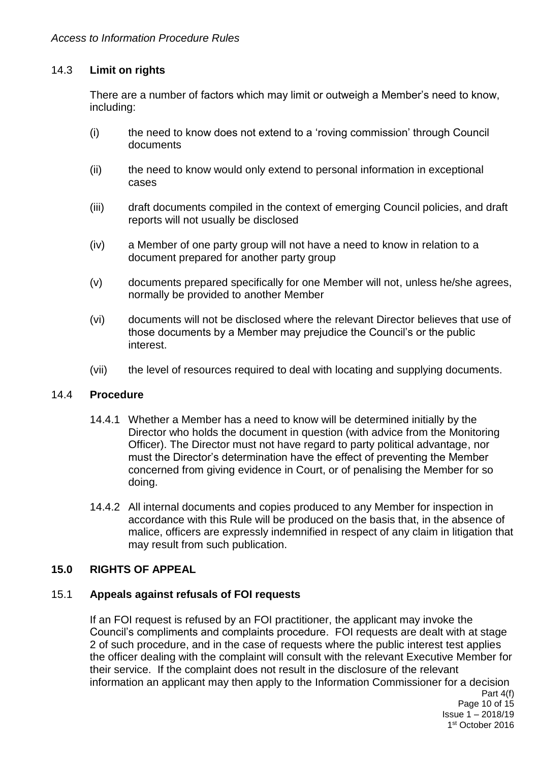### 14.3 **Limit on rights**

There are a number of factors which may limit or outweigh a Member's need to know, including:

- (i) the need to know does not extend to a 'roving commission' through Council documents
- (ii) the need to know would only extend to personal information in exceptional cases
- (iii) draft documents compiled in the context of emerging Council policies, and draft reports will not usually be disclosed
- (iv) a Member of one party group will not have a need to know in relation to a document prepared for another party group
- (v) documents prepared specifically for one Member will not, unless he/she agrees, normally be provided to another Member
- (vi) documents will not be disclosed where the relevant Director believes that use of those documents by a Member may prejudice the Council's or the public interest.
- (vii) the level of resources required to deal with locating and supplying documents.

#### 14.4 **Procedure**

- 14.4.1 Whether a Member has a need to know will be determined initially by the Director who holds the document in question (with advice from the Monitoring Officer). The Director must not have regard to party political advantage, nor must the Director's determination have the effect of preventing the Member concerned from giving evidence in Court, or of penalising the Member for so doing.
- 14.4.2 All internal documents and copies produced to any Member for inspection in accordance with this Rule will be produced on the basis that, in the absence of malice, officers are expressly indemnified in respect of any claim in litigation that may result from such publication.

#### **15.0 RIGHTS OF APPEAL**

#### 15.1 **Appeals against refusals of FOI requests**

If an FOI request is refused by an FOI practitioner, the applicant may invoke the Council's compliments and complaints procedure. FOI requests are dealt with at stage 2 of such procedure, and in the case of requests where the public interest test applies the officer dealing with the complaint will consult with the relevant Executive Member for their service. If the complaint does not result in the disclosure of the relevant information an applicant may then apply to the Information Commissioner for a decision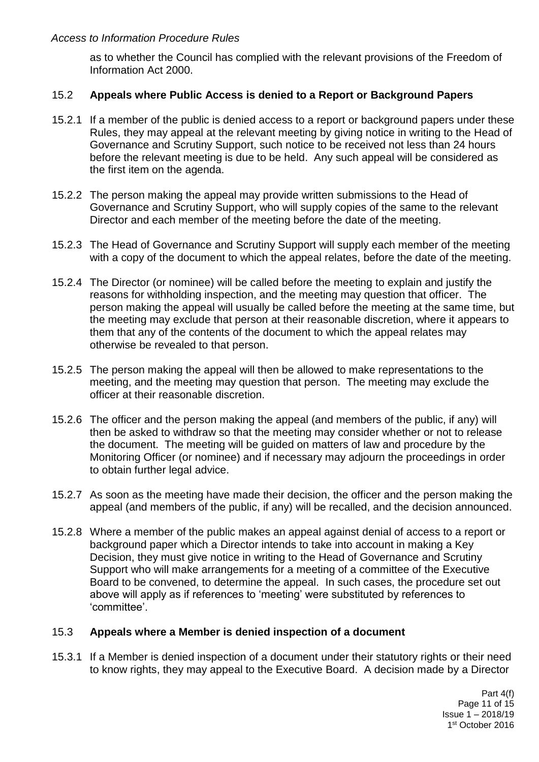as to whether the Council has complied with the relevant provisions of the Freedom of Information Act 2000.

#### 15.2 **Appeals where Public Access is denied to a Report or Background Papers**

- 15.2.1 If a member of the public is denied access to a report or background papers under these Rules, they may appeal at the relevant meeting by giving notice in writing to the Head of Governance and Scrutiny Support, such notice to be received not less than 24 hours before the relevant meeting is due to be held. Any such appeal will be considered as the first item on the agenda.
- 15.2.2 The person making the appeal may provide written submissions to the Head of Governance and Scrutiny Support, who will supply copies of the same to the relevant Director and each member of the meeting before the date of the meeting.
- 15.2.3 The Head of Governance and Scrutiny Support will supply each member of the meeting with a copy of the document to which the appeal relates, before the date of the meeting.
- 15.2.4 The Director (or nominee) will be called before the meeting to explain and justify the reasons for withholding inspection, and the meeting may question that officer. The person making the appeal will usually be called before the meeting at the same time, but the meeting may exclude that person at their reasonable discretion, where it appears to them that any of the contents of the document to which the appeal relates may otherwise be revealed to that person.
- 15.2.5 The person making the appeal will then be allowed to make representations to the meeting, and the meeting may question that person. The meeting may exclude the officer at their reasonable discretion.
- 15.2.6 The officer and the person making the appeal (and members of the public, if any) will then be asked to withdraw so that the meeting may consider whether or not to release the document. The meeting will be guided on matters of law and procedure by the Monitoring Officer (or nominee) and if necessary may adjourn the proceedings in order to obtain further legal advice.
- 15.2.7 As soon as the meeting have made their decision, the officer and the person making the appeal (and members of the public, if any) will be recalled, and the decision announced.
- 15.2.8 Where a member of the public makes an appeal against denial of access to a report or background paper which a Director intends to take into account in making a Key Decision, they must give notice in writing to the Head of Governance and Scrutiny Support who will make arrangements for a meeting of a committee of the Executive Board to be convened, to determine the appeal. In such cases, the procedure set out above will apply as if references to 'meeting' were substituted by references to 'committee'.

#### 15.3 **Appeals where a Member is denied inspection of a document**

15.3.1 If a Member is denied inspection of a document under their statutory rights or their need to know rights, they may appeal to the Executive Board. A decision made by a Director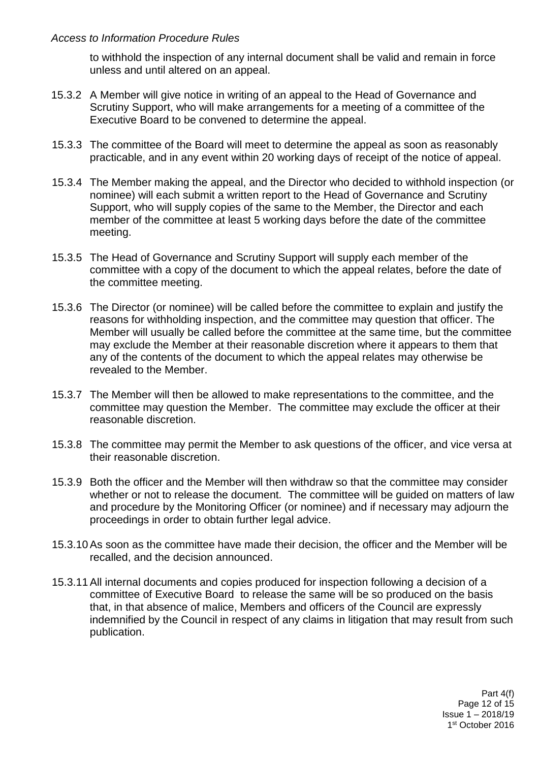to withhold the inspection of any internal document shall be valid and remain in force unless and until altered on an appeal.

- 15.3.2 A Member will give notice in writing of an appeal to the Head of Governance and Scrutiny Support, who will make arrangements for a meeting of a committee of the Executive Board to be convened to determine the appeal.
- 15.3.3 The committee of the Board will meet to determine the appeal as soon as reasonably practicable, and in any event within 20 working days of receipt of the notice of appeal.
- 15.3.4 The Member making the appeal, and the Director who decided to withhold inspection (or nominee) will each submit a written report to the Head of Governance and Scrutiny Support, who will supply copies of the same to the Member, the Director and each member of the committee at least 5 working days before the date of the committee meeting.
- 15.3.5 The Head of Governance and Scrutiny Support will supply each member of the committee with a copy of the document to which the appeal relates, before the date of the committee meeting.
- 15.3.6 The Director (or nominee) will be called before the committee to explain and justify the reasons for withholding inspection, and the committee may question that officer. The Member will usually be called before the committee at the same time, but the committee may exclude the Member at their reasonable discretion where it appears to them that any of the contents of the document to which the appeal relates may otherwise be revealed to the Member.
- 15.3.7 The Member will then be allowed to make representations to the committee, and the committee may question the Member. The committee may exclude the officer at their reasonable discretion.
- 15.3.8 The committee may permit the Member to ask questions of the officer, and vice versa at their reasonable discretion.
- 15.3.9 Both the officer and the Member will then withdraw so that the committee may consider whether or not to release the document. The committee will be guided on matters of law and procedure by the Monitoring Officer (or nominee) and if necessary may adjourn the proceedings in order to obtain further legal advice.
- 15.3.10As soon as the committee have made their decision, the officer and the Member will be recalled, and the decision announced.
- 15.3.11All internal documents and copies produced for inspection following a decision of a committee of Executive Board to release the same will be so produced on the basis that, in that absence of malice, Members and officers of the Council are expressly indemnified by the Council in respect of any claims in litigation that may result from such publication.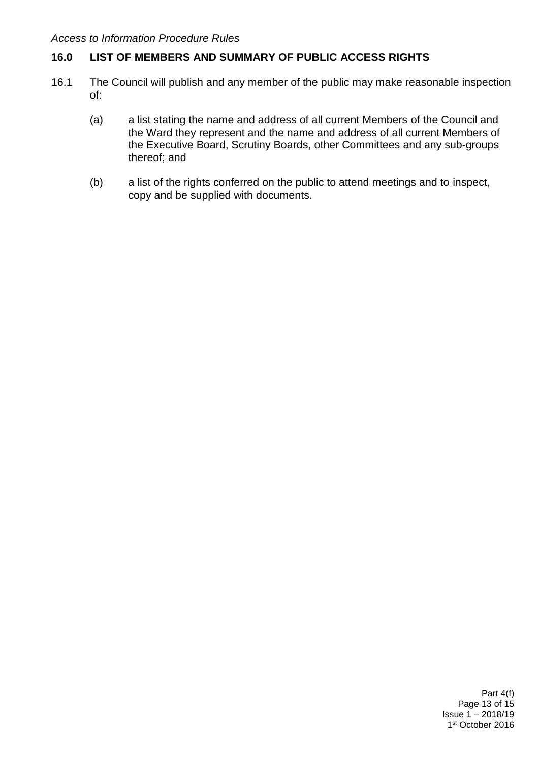## **16.0 LIST OF MEMBERS AND SUMMARY OF PUBLIC ACCESS RIGHTS**

- 16.1 The Council will publish and any member of the public may make reasonable inspection of:
	- (a) a list stating the name and address of all current Members of the Council and the Ward they represent and the name and address of all current Members of the Executive Board, Scrutiny Boards, other Committees and any sub-groups thereof; and
	- (b) a list of the rights conferred on the public to attend meetings and to inspect, copy and be supplied with documents.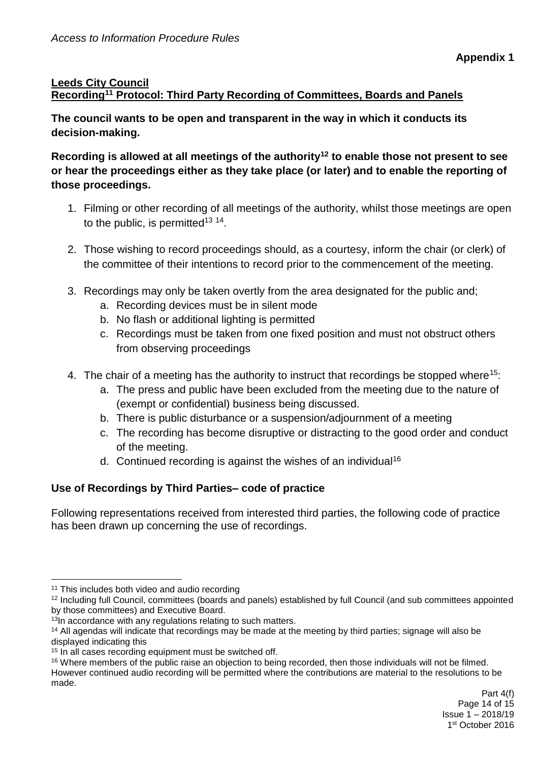## **Leeds City Council Recording<sup>11</sup> Protocol: Third Party Recording of Committees, Boards and Panels**

**The council wants to be open and transparent in the way in which it conducts its decision-making.** 

**Recording is allowed at all meetings of the authority<sup>12</sup> to enable those not present to see or hear the proceedings either as they take place (or later) and to enable the reporting of those proceedings.** 

- 1. Filming or other recording of all meetings of the authority, whilst those meetings are open to the public, is permitted<sup>13 14</sup>.
- 2. Those wishing to record proceedings should, as a courtesy, inform the chair (or clerk) of the committee of their intentions to record prior to the commencement of the meeting.
- 3. Recordings may only be taken overtly from the area designated for the public and;
	- a. Recording devices must be in silent mode
	- b. No flash or additional lighting is permitted
	- c. Recordings must be taken from one fixed position and must not obstruct others from observing proceedings
- 4. The chair of a meeting has the authority to instruct that recordings be stopped where<sup>15</sup>:
	- a. The press and public have been excluded from the meeting due to the nature of (exempt or confidential) business being discussed.
	- b. There is public disturbance or a suspension/adjournment of a meeting
	- c. The recording has become disruptive or distracting to the good order and conduct of the meeting.
	- d. Continued recording is against the wishes of an individual<sup>16</sup>

## **Use of Recordings by Third Parties– code of practice**

Following representations received from interested third parties, the following code of practice has been drawn up concerning the use of recordings.

<sup>1</sup> <sup>11</sup> This includes both video and audio recording

<sup>&</sup>lt;sup>12</sup> Including full Council, committees (boards and panels) established by full Council (and sub committees appointed by those committees) and Executive Board.

<sup>&</sup>lt;sup>13</sup>In accordance with any regulations relating to such matters.

<sup>14</sup> All agendas will indicate that recordings may be made at the meeting by third parties; signage will also be displayed indicating this

<sup>&</sup>lt;sup>15</sup> In all cases recording equipment must be switched off.

<sup>&</sup>lt;sup>16</sup> Where members of the public raise an objection to being recorded, then those individuals will not be filmed. However continued audio recording will be permitted where the contributions are material to the resolutions to be made.